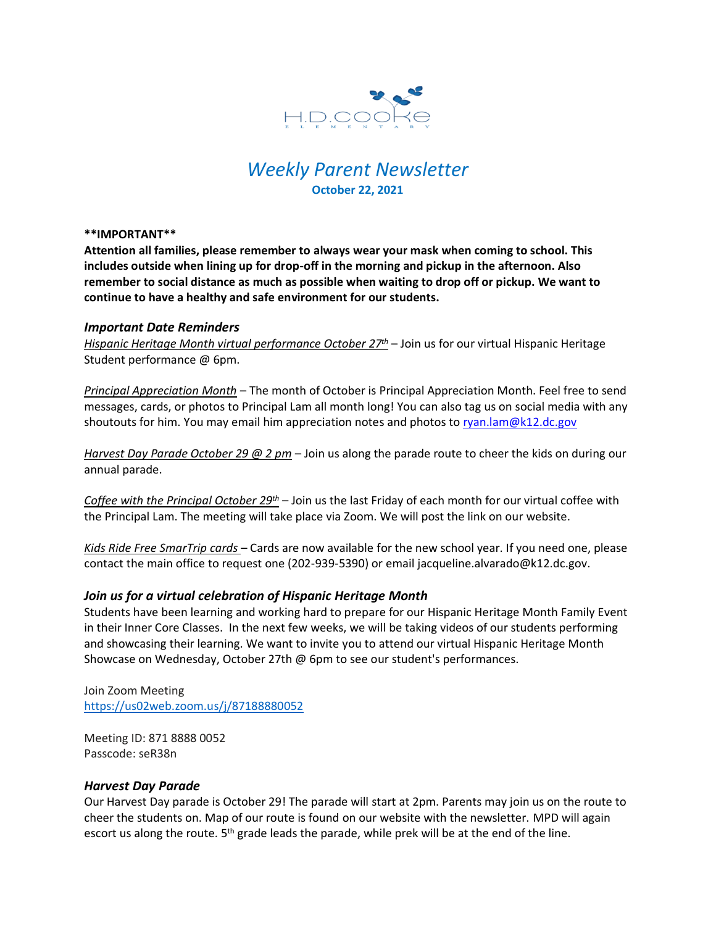

# *Weekly Parent Newsletter* **October 22, 2021**

**\*\*IMPORTANT\*\*** 

**Attention all families, please remember to always wear your mask when coming to school. This includes outside when lining up for drop-off in the morning and pickup in the afternoon. Also remember to social distance as much as possible when waiting to drop off or pickup. We want to continue to have a healthy and safe environment for our students.** 

### *Important Date Reminders*

*Hispanic Heritage Month virtual performance October 27th* – Join us for our virtual Hispanic Heritage Student performance @ 6pm.

*Principal Appreciation Month* – The month of October is Principal Appreciation Month. Feel free to send messages, cards, or photos to Principal Lam all month long! You can also tag us on social media with any shoutouts for him. You may email him appreciation notes and photos to [ryan.lam@k12.dc.gov](mailto:ryan.lam@k12.dc.gov)

*Harvest Day Parade October 29 @ 2 pm* – Join us along the parade route to cheer the kids on during our annual parade.

*Coffee with the Principal October 29th* – Join us the last Friday of each month for our virtual coffee with the Principal Lam. The meeting will take place via Zoom. We will post the link on our website.

*Kids Ride Free SmarTrip cards* – Cards are now available for the new school year. If you need one, please contact the main office to request one (202-939-5390) or email jacqueline.alvarado@k12.dc.gov.

## *Join us for a virtual celebration of Hispanic Heritage Month*

Students have been learning and working hard to prepare for our Hispanic Heritage Month Family Event in their Inner Core Classes. In the next few weeks, we will be taking videos of our students performing and showcasing their learning. We want to invite you to attend our virtual Hispanic Heritage Month Showcase on Wednesday, October 27th @ 6pm to see our student's performances.

Join Zoom Meeting <https://us02web.zoom.us/j/87188880052>

Meeting ID: 871 8888 0052 Passcode: seR38n

### *Harvest Day Parade*

Our Harvest Day parade is October 29! The parade will start at 2pm. Parents may join us on the route to cheer the students on. Map of our route is found on our website with the newsletter. MPD will again escort us along the route. 5<sup>th</sup> grade leads the parade, while prek will be at the end of the line.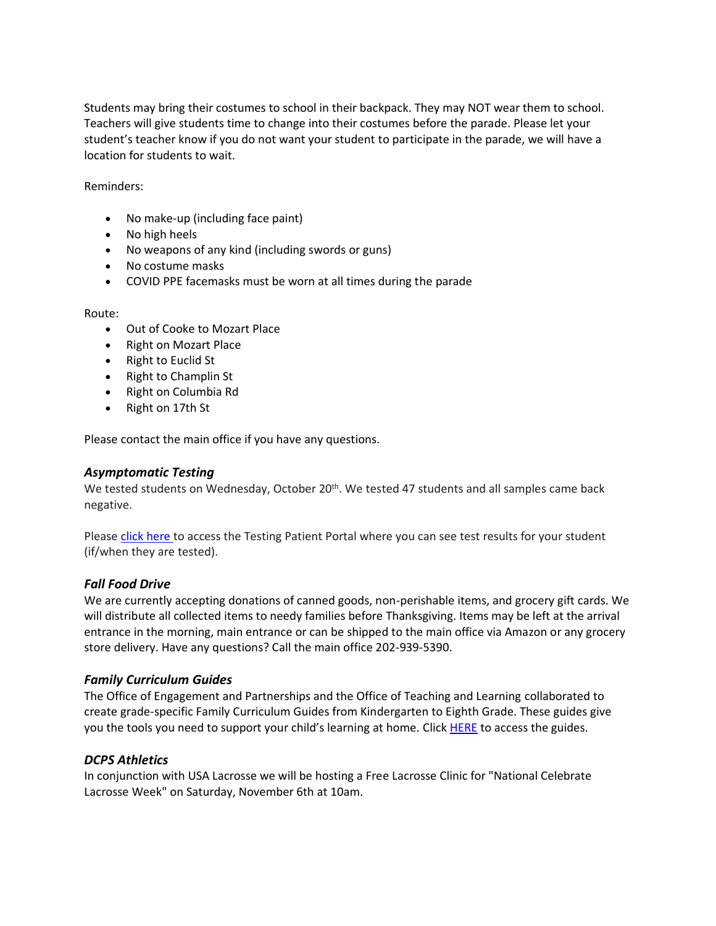Students may bring their costumes to school in their backpack. They may NOT wear them to school. Teachers will give students time to change into their costumes before the parade. Please let your student's teacher know if you do not want your student to participate in the parade, we will have a location for students to wait.

Reminders:

- No make-up (including face paint)
- No high heels
- No weapons of any kind (including swords or guns)
- No costume masks
- COVID PPE facemasks must be worn at all times during the parade

#### Route:

- Out of Cooke to Mozart Place
- Right on Mozart Place
- Right to Euclid St
- Right to Champlin St
- Right on Columbia Rd
- Right on 17th St

Please contact the main office if you have any questions.

### *Asymptomatic Testing*

We tested students on Wednesday, October 20<sup>th</sup>. We tested 47 students and all samples came back negative.

Please click [here](https://shieldt3k12portal.pointnclick.com/login_login.aspx) to access the Testing Patient Portal where you can see test results for your student (if/when they are tested).

### *Fall Food Drive*

We are currently accepting donations of canned goods, non-perishable items, and grocery gift cards. We will distribute all collected items to needy families before Thanksgiving. Items may be left at the arrival entrance in the morning, main entrance or can be shipped to the main office via Amazon or any grocery store delivery. Have any questions? Call the main office 202-939-5390.

### *Family Curriculum Guides*

The Office of Engagement and Partnerships and the Office of Teaching and Learning collaborated to create grade-specific Family Curriculum Guides from Kindergarten to Eighth Grade. These guides give you the tools you need to support your child's learning at home. Clic[k HERE](https://dcps.dc.gov/publication/parent-curriculum-guides) to access the guides.

### *DCPS Athletics*

In conjunction with USA Lacrosse we will be hosting a Free Lacrosse Clinic for "National Celebrate Lacrosse Week" on Saturday, November 6th at 10am.